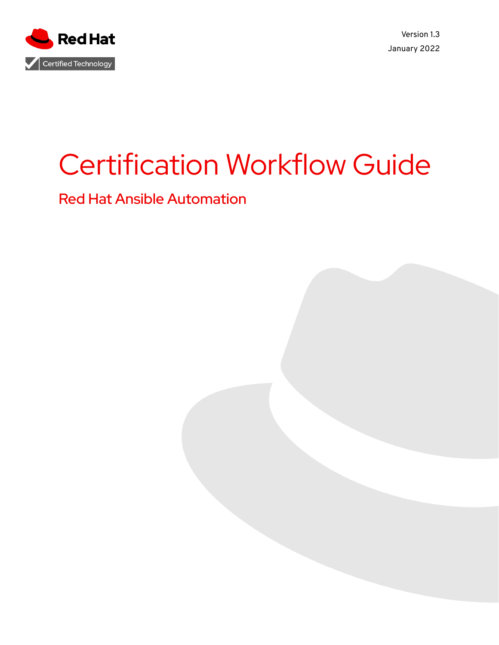

Version 1.3 January 2022

# Certification Workflow Guide

Red Hat Ansible Automation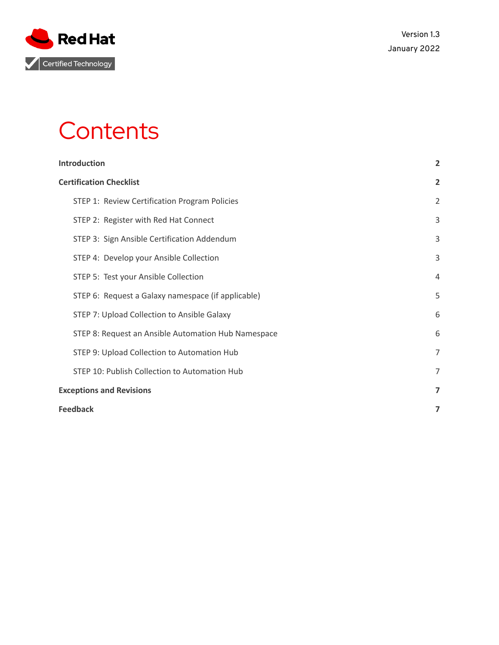

## **Contents**

| Introduction                                        | $\overline{2}$ |
|-----------------------------------------------------|----------------|
| <b>Certification Checklist</b>                      | $\overline{2}$ |
| STEP 1: Review Certification Program Policies       | 2              |
| STEP 2: Register with Red Hat Connect               | 3              |
| STEP 3: Sign Ansible Certification Addendum         | 3              |
| STEP 4: Develop your Ansible Collection             | 3              |
| STEP 5: Test your Ansible Collection                | $\overline{4}$ |
| STEP 6: Request a Galaxy namespace (if applicable)  | 5              |
| STEP 7: Upload Collection to Ansible Galaxy         | 6              |
| STEP 8: Request an Ansible Automation Hub Namespace | 6              |
| STEP 9: Upload Collection to Automation Hub         | $\overline{7}$ |
| STEP 10: Publish Collection to Automation Hub       | $\overline{7}$ |
| <b>Exceptions and Revisions</b>                     | 7              |
| <b>Feedback</b>                                     |                |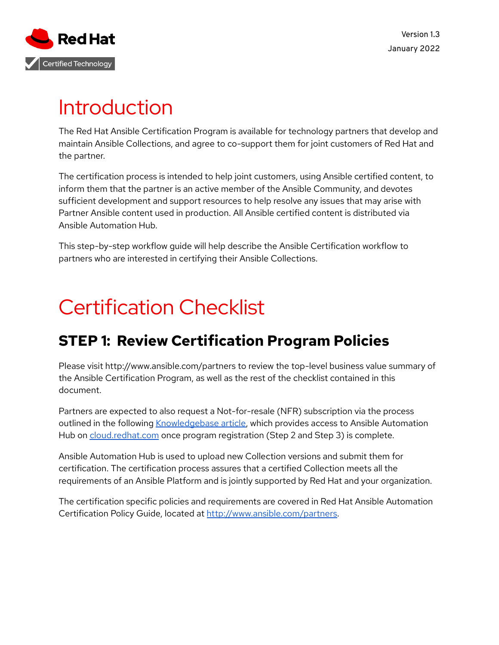

## <span id="page-2-0"></span>Introduction

The Red Hat Ansible Certification Program is available for technology partners that develop and maintain Ansible Collections, and agree to co-support them for joint customers of Red Hat and the partner.

The certification process is intended to help joint customers, using Ansible certified content, to inform them that the partner is an active member of the Ansible Community, and devotes sufficient development and support resources to help resolve any issues that may arise with Partner Ansible content used in production. All Ansible certified content is distributed via Ansible Automation Hub.

This step-by-step workflow guide will help describe the Ansible Certification workflow to partners who are interested in certifying their Ansible Collections.

## <span id="page-2-1"></span>Certification Checklist

## <span id="page-2-2"></span>**STEP 1: Review Certification Program Policies**

Please visit http://www.ansible.com/partners to review the top-level business value summary of the Ansible Certification Program, as well as the rest of the checklist contained in this document.

Partners are expected to also request a Not-for-resale (NFR) subscription via the process outlined in the following [Knowledgebase](https://access.redhat.com/articles/4931991) article, which provides access to Ansible Automation Hub on [cloud.redhat.com](http://cloud.redhat.com) once program registration (Step 2 and Step 3) is complete.

Ansible Automation Hub is used to upload new Collection versions and submit them for certification. The certification process assures that a certified Collection meets all the requirements of an Ansible Platform and is jointly supported by Red Hat and your organization.

The certification specific policies and requirements are covered in Red Hat Ansible Automation Certification Policy Guide, located at [http://www.ansible.com/partners.](http://www.ansible.com/partners)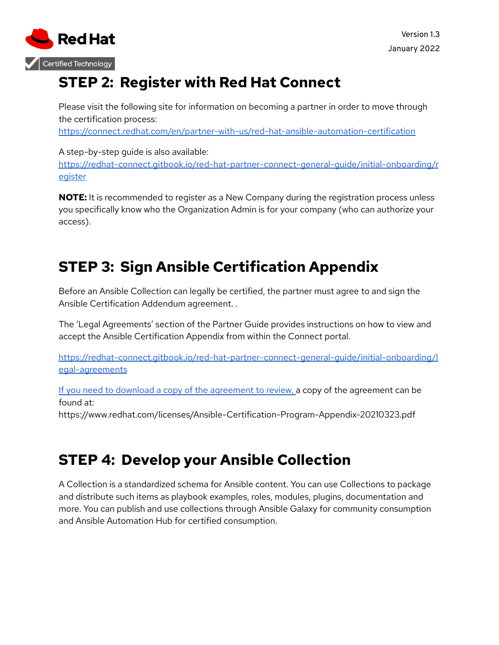

## <span id="page-3-0"></span>**STEP 2: Register with Red Hat Connect**

Please visit the following site for information on becoming a partner in order to move through the certification process:

<https://connect.redhat.com/en/partner-with-us/red-hat-ansible-automation-certification>

A step-by-step guide is also available: [https://redhat-connect.gitbook.io/red-hat-partner-connect-general-guide/initial-onboarding/r](https://redhat-connect.gitbook.io/red-hat-partner-connect-general-guide/initial-onboarding/register) [egister](https://redhat-connect.gitbook.io/red-hat-partner-connect-general-guide/initial-onboarding/register)

**NOTE:** It is recommended to register as a New Company during the registration process unless you specifically know who the Organization Admin is for your company (who can authorize your access).

## <span id="page-3-1"></span>**STEP 3: Sign Ansible Certification Appendix**

Before an Ansible Collection can legally be certified, the partner must agree to and sign the Ansible Certification Addendum agreement. .

The 'Legal Agreements' section of the Partner Guide provides instructions on how to view and accept the Ansible Certification Appendix from within the Connect portal.

[https://redhat-connect.gitbook.io/red-hat-partner-connect-general-guide/initial-onboarding/l](https://redhat-connect.gitbook.io/red-hat-partner-connect-general-guide/initial-onboarding/legal-agreements) [egal-agreements](https://redhat-connect.gitbook.io/red-hat-partner-connect-general-guide/initial-onboarding/legal-agreements)

If you need to download a copy of the agreement to review, a copy of the agreement can be found at:

https://www.redhat.com/licenses/Ansible-Certification-Program-Appendix-20210323.pdf

## <span id="page-3-2"></span>**STEP 4: Develop your Ansible Collection**

A Collection is a standardized schema for Ansible content. You can use Collections to package and distribute such items as playbook examples, roles, modules, plugins, documentation and more. You can publish and use collections through Ansible Galaxy for community consumption and Ansible Automation Hub for certified consumption.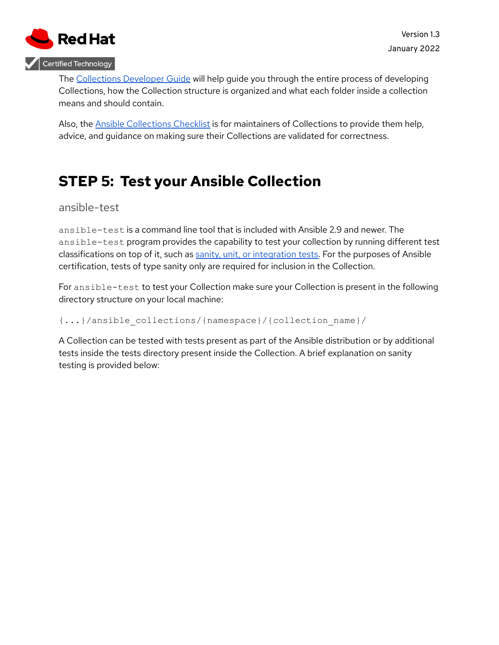

The [Collections](https://docs.ansible.com/ansible/latest/dev_guide/developing_collections.html) Developer Guide will help guide you through the entire process of developing Collections, how the Collection structure is organized and what each folder inside a collection means and should contain.

Also, the Ansible [Collections](https://github.com/ansible-collections/overview/blob/master/collection_requirements.rst) Checklist is for maintainers of Collections to provide them help, advice, and guidance on making sure their Collections are validated for correctness.

### <span id="page-4-0"></span>**STEP 5: Test your Ansible Collection**

#### ansible-test

ansible-test is a command line tool that is included with Ansible 2.9 and newer. The ansible-test program provides the capability to test your collection by running different test classifications on top of it, such as sanity, unit, or [integration](https://docs.ansible.com/ansible/latest/reference_appendices/test_strategies.html) tests. For the purposes of Ansible certification, tests of type sanity only are required for inclusion in the Collection.

For ansible-test to test your Collection make sure your Collection is present in the following directory structure on your local machine:

#### {...}/ansible\_collections/{namespace}/{collection\_name}/

A Collection can be tested with tests present as part of the Ansible distribution or by additional tests inside the tests directory present inside the Collection. A brief explanation on sanity testing is provided below: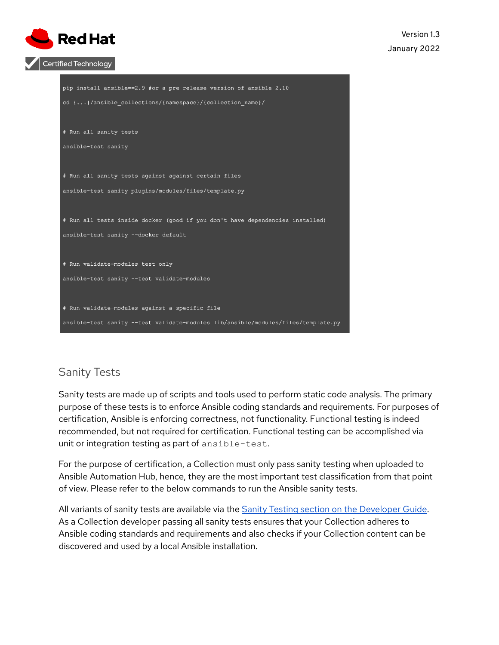

| pip install ansible==2.9 #or a pre-release version of ansible 2.10               |
|----------------------------------------------------------------------------------|
| cd {}/ansible collections/{namespace}/{collection name}/                         |
|                                                                                  |
| # Run all sanity tests                                                           |
|                                                                                  |
| ansible-test sanity                                                              |
|                                                                                  |
| # Run all sanity tests against against certain files                             |
|                                                                                  |
| ansible-test sanity plugins/modules/files/template.py                            |
|                                                                                  |
| # Run all tests inside docker (good if you don't have dependencies installed)    |
| ansible-test sanity --docker default                                             |
|                                                                                  |
|                                                                                  |
| # Run validate-modules test only                                                 |
| ansible-test sanity --test validate-modules                                      |
|                                                                                  |
|                                                                                  |
| # Run validate-modules against a specific file                                   |
| ansible-test sanity --test validate-modules lib/ansible/modules/files/template.p |
|                                                                                  |

#### Sanity Tests

Sanity tests are made up of scripts and tools used to perform static code analysis. The primary purpose of these tests is to enforce Ansible coding standards and requirements. For purposes of certification, Ansible is enforcing correctness, not functionality. Functional testing is indeed recommended, but not required for certification. Functional testing can be accomplished via unit or integration testing as part of ansible-test.

For the purpose of certification, a Collection must only pass sanity testing when uploaded to Ansible Automation Hub, hence, they are the most important test classification from that point of view. Please refer to the below commands to run the Ansible sanity tests.

All variants of sanity tests are available via the **Sanity Testing section on the [Developer](https://docs.ansible.com/ansible/latest/dev_guide/testing/sanity/index.html#all-sanity-tests) Guide**. As a Collection developer passing all sanity tests ensures that your Collection adheres to Ansible coding standards and requirements and also checks if your Collection content can be discovered and used by a local Ansible installation.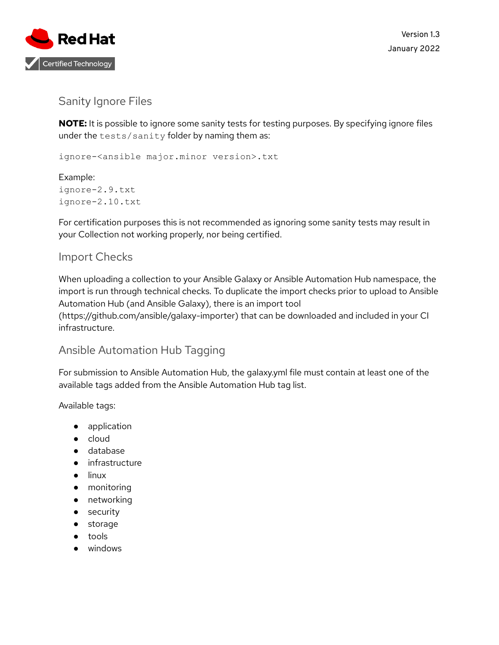

#### Sanity Ignore Files

**NOTE:** It is possible to ignore some sanity tests for testing purposes. By specifying ignore files under the tests/sanity folder by naming them as:

ignore-<ansible major.minor version>.txt

Example: ignore-2.9.txt ignore-2.10.txt

For certification purposes this is not recommended as ignoring some sanity tests may result in your Collection not working properly, nor being certified.

#### Import Checks

When uploading a collection to your Ansible Galaxy or Ansible Automation Hub namespace, the import is run through technical checks. To duplicate the import checks prior to upload to Ansible Automation Hub (and Ansible Galaxy), there is an import tool

(https://github.com/ansible/galaxy-importer) that can be downloaded and included in your CI infrastructure.

#### Ansible Automation Hub Tagging

For submission to Ansible Automation Hub, the galaxy.yml file must contain at least one of the available tags added from the Ansible Automation Hub tag list.

Available tags:

- application
- cloud
- database
- infrastructure
- linux
- monitoring
- networking
- security
- storage
- tools
- windows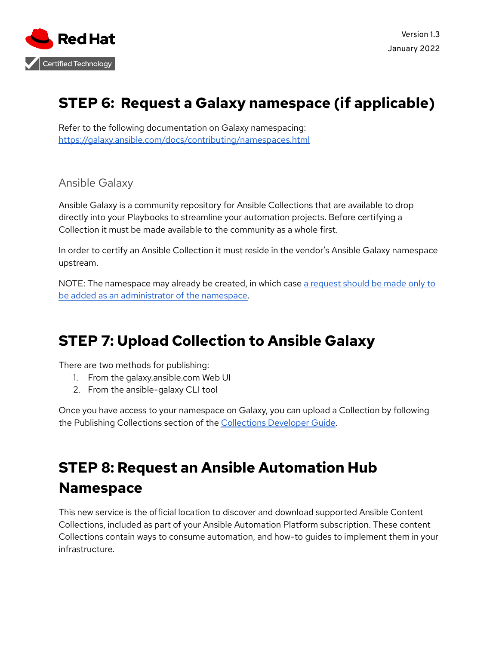

## <span id="page-7-0"></span>**STEP 6: Request a Galaxy namespace (if applicable)**

Refer to the following documentation on Galaxy namespacing: <https://galaxy.ansible.com/docs/contributing/namespaces.html>

Ansible Galaxy

Ansible Galaxy is a community repository for Ansible Collections that are available to drop directly into your Playbooks to streamline your automation projects. Before certifying a Collection it must be made available to the community as a whole first.

In order to certify an Ansible Collection it must reside in the vendor's Ansible Galaxy namespace upstream.

NOTE: The namespace may already be created, in which case a [request](https://github.com/ansible/galaxy/issues/new?template=New_namespace.md) should be made only to be added as an [administrator](https://github.com/ansible/galaxy/issues/new?template=New_namespace.md) of the namespace.

## <span id="page-7-1"></span>**STEP 7: Upload Collection to Ansible Galaxy**

There are two methods for publishing:

- 1. From the galaxy.ansible.com Web UI
- 2. From the ansible-galaxy CLI tool

Once you have access to your namespace on Galaxy, you can upload a Collection by following the Publishing Collections section of the [Collections](https://docs.ansible.com/ansible/latest/dev_guide/developing_collections.html#publishing-collections) Developer Guide.

## <span id="page-7-2"></span>**STEP 8: Request an Ansible Automation Hub Namespace**

This new service is the official location to discover and download supported Ansible Content Collections, included as part of your Ansible Automation Platform subscription. These content Collections contain ways to consume automation, and how-to guides to implement them in your infrastructure.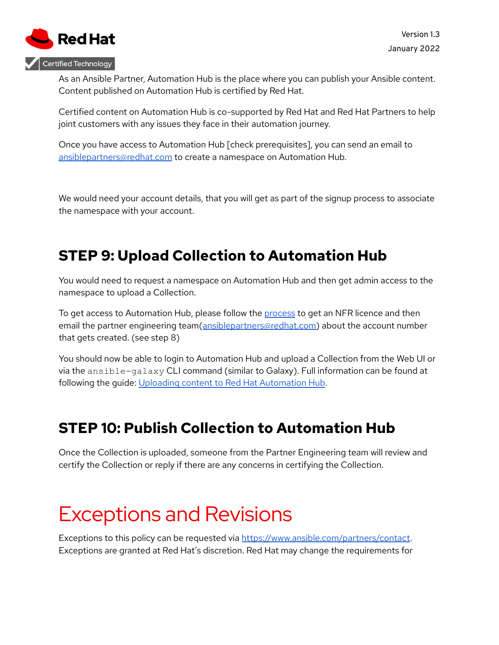

As an Ansible Partner, Automation Hub is the place where you can publish your Ansible content. Content published on Automation Hub is certified by Red Hat.

Certified content on Automation Hub is co-supported by Red Hat and Red Hat Partners to help joint customers with any issues they face in their automation journey.

Once you have access to Automation Hub [check prerequisites], you can send an email to [ansiblepartners@redhat.com](mailto:ansiblepartners@redhat.com) to create a namespace on Automation Hub.

We would need your account details, that you will get as part of the signup process to associate the namespace with your account.

### <span id="page-8-0"></span>**STEP 9: Upload Collection to Automation Hub**

You would need to request a namespace on Automation Hub and then get admin access to the namespace to upload a Collection.

To get access to Automation Hub, please follow the [process](https://access.redhat.com/articles/4931991) to get an NFR licence and then email the partner engineering team([ansiblepartners@redhat.com](mailto:ansiblepartners@redhat.com)) about the account number that gets created. (see step 8)

You should now be able to login to Automation Hub and upload a Collection from the Web UI or via the ansible-galaxy CLI command (similar to Galaxy). Full information can be found at following the guide: Uploading content to Red Hat [Automation](https://access.redhat.com/documentation/en-us/red_hat_ansible_automation_platform/1.0/html/uploading_content_to_red_hat_automation_hub/index) Hub.

## <span id="page-8-1"></span>**STEP 10: Publish Collection to Automation Hub**

Once the Collection is uploaded, someone from the Partner Engineering team will review and certify the Collection or reply if there are any concerns in certifying the Collection.

## <span id="page-8-2"></span>Exceptions and Revisions

Exceptions to this policy can be requested via <https://www.ansible.com/partners/contact>. Exceptions are granted at Red Hat's discretion. Red Hat may change the requirements for